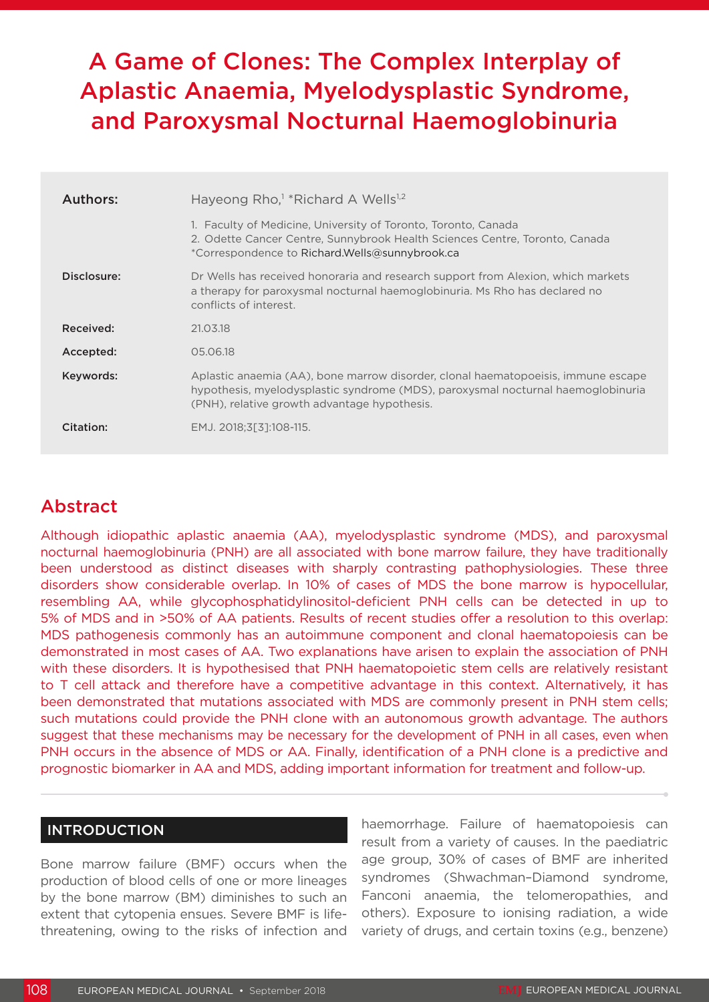# A Game of Clones: The Complex Interplay of Aplastic Anaemia, Myelodysplastic Syndrome, and Paroxysmal Nocturnal Haemoglobinuria

| Authors:    | Hayeong Rho, <sup>1</sup> *Richard A Wells <sup>1,2</sup>                                                                                                                                                             |
|-------------|-----------------------------------------------------------------------------------------------------------------------------------------------------------------------------------------------------------------------|
|             | 1. Faculty of Medicine, University of Toronto, Toronto, Canada<br>2. Odette Cancer Centre, Sunnybrook Health Sciences Centre, Toronto, Canada<br>*Correspondence to Richard.Wells@sunnybrook.ca                       |
| Disclosure: | Dr Wells has received honoraria and research support from Alexion, which markets<br>a therapy for paroxysmal nocturnal haemoglobinuria. Ms Rho has declared no<br>conflicts of interest.                              |
| Received:   | 21.03.18                                                                                                                                                                                                              |
| Accepted:   | 05.06.18                                                                                                                                                                                                              |
| Keywords:   | Aplastic anaemia (AA), bone marrow disorder, clonal haematopoeisis, immune escape<br>hypothesis, myelodysplastic syndrome (MDS), paroxysmal nocturnal haemoglobinuria<br>(PNH), relative growth advantage hypothesis. |
| Citation:   | EMJ. 2018;3[3]:108-115.                                                                                                                                                                                               |

## Abstract

Although idiopathic aplastic anaemia (AA), myelodysplastic syndrome (MDS), and paroxysmal nocturnal haemoglobinuria (PNH) are all associated with bone marrow failure, they have traditionally been understood as distinct diseases with sharply contrasting pathophysiologies. These three disorders show considerable overlap. In 10% of cases of MDS the bone marrow is hypocellular, resembling AA, while glycophosphatidylinositol-deficient PNH cells can be detected in up to 5% of MDS and in >50% of AA patients. Results of recent studies offer a resolution to this overlap: MDS pathogenesis commonly has an autoimmune component and clonal haematopoiesis can be demonstrated in most cases of AA. Two explanations have arisen to explain the association of PNH with these disorders. It is hypothesised that PNH haematopoietic stem cells are relatively resistant to T cell attack and therefore have a competitive advantage in this context. Alternatively, it has been demonstrated that mutations associated with MDS are commonly present in PNH stem cells; such mutations could provide the PNH clone with an autonomous growth advantage. The authors suggest that these mechanisms may be necessary for the development of PNH in all cases, even when PNH occurs in the absence of MDS or AA. Finally, identification of a PNH clone is a predictive and prognostic biomarker in AA and MDS, adding important information for treatment and follow-up.

#### INTRODUCTION

Bone marrow failure (BMF) occurs when the production of blood cells of one or more lineages by the bone marrow (BM) diminishes to such an extent that cytopenia ensues. Severe BMF is lifethreatening, owing to the risks of infection and haemorrhage. Failure of haematopoiesis can result from a variety of causes. In the paediatric age group, 30% of cases of BMF are inherited syndromes (Shwachman–Diamond syndrome, Fanconi anaemia, the telomeropathies, and others). Exposure to ionising radiation, a wide variety of drugs, and certain toxins (e.g., benzene)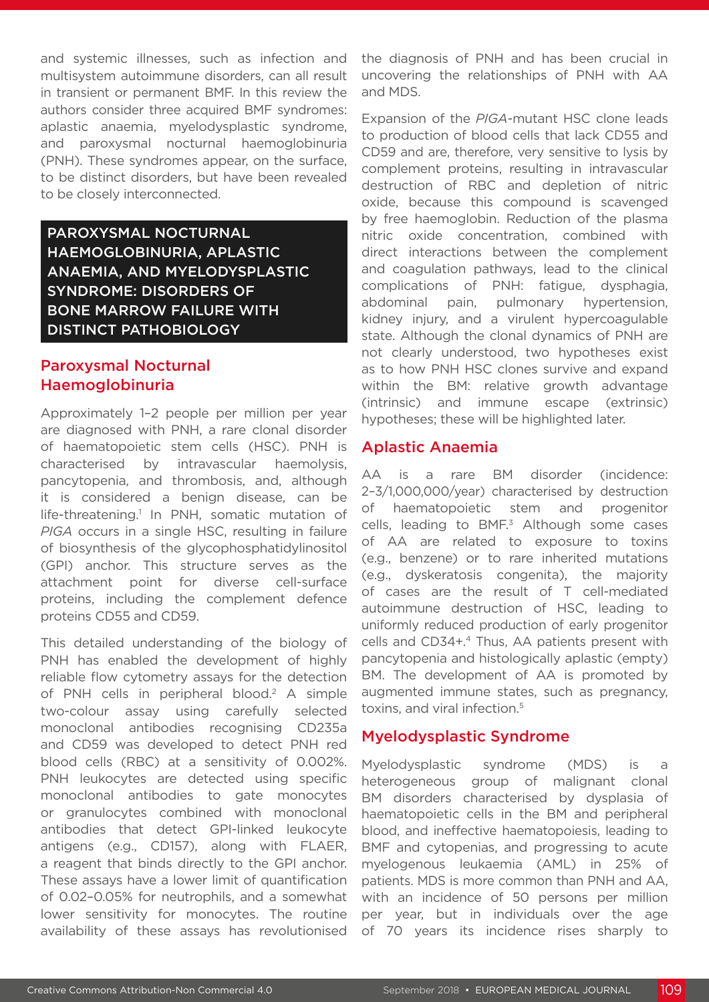and systemic illnesses, such as infection and multisystem autoimmune disorders, can all result in transient or permanent BMF. In this review the authors consider three acquired BMF syndromes: aplastic anaemia, myelodysplastic syndrome, and paroxysmal nocturnal haemoglobinuria (PNH). These syndromes appear, on the surface, to be distinct disorders, but have been revealed to be closely interconnected.

PAROXYSMAL NOCTURNAL HAEMOGLOBINURIA, APLASTIC ANAEMIA, AND MYELODYSPLASTIC SYNDROME: DISORDERS OF BONE MARROW FAILURE WITH DISTINCT PATHOBIOLOGY

### Paroxysmal Nocturnal Haemoglobinuria

Approximately 1–2 people per million per year are diagnosed with PNH, a rare clonal disorder of haematopoietic stem cells (HSC). PNH is characterised by intravascular haemolysis, pancytopenia, and thrombosis, and, although it is considered a benign disease, can be life-threatening.<sup>1</sup> In PNH, somatic mutation of *PIGA* occurs in a single HSC, resulting in failure of biosynthesis of the glycophosphatidylinositol (GPI) anchor. This structure serves as the attachment point for diverse cell-surface proteins, including the complement defence proteins CD55 and CD59.

This detailed understanding of the biology of PNH has enabled the development of highly reliable flow cytometry assays for the detection of PNH cells in peripheral blood.<sup>2</sup> A simple two-colour assay using carefully selected monoclonal antibodies recognising CD235a and CD59 was developed to detect PNH red blood cells (RBC) at a sensitivity of 0.002%. PNH leukocytes are detected using specific monoclonal antibodies to gate monocytes or granulocytes combined with monoclonal antibodies that detect GPI-linked leukocyte antigens (e.g., CD157), along with FLAER, a reagent that binds directly to the GPI anchor. These assays have a lower limit of quantification of 0.02–0.05% for neutrophils, and a somewhat lower sensitivity for monocytes. The routine availability of these assays has revolutionised

the diagnosis of PNH and has been crucial in uncovering the relationships of PNH with AA and MDS.

Expansion of the *PIGA*-mutant HSC clone leads to production of blood cells that lack CD55 and CD59 and are, therefore, very sensitive to lysis by complement proteins, resulting in intravascular destruction of RBC and depletion of nitric oxide, because this compound is scavenged by free haemoglobin. Reduction of the plasma nitric oxide concentration, combined with direct interactions between the complement and coagulation pathways, lead to the clinical complications of PNH: fatigue, dysphagia, abdominal pain, pulmonary hypertension, kidney injury, and a virulent hypercoagulable state. Although the clonal dynamics of PNH are not clearly understood, two hypotheses exist as to how PNH HSC clones survive and expand within the BM: relative growth advantage (intrinsic) and immune escape (extrinsic) hypotheses; these will be highlighted later.

#### Aplastic Anaemia

AA is a rare BM disorder (incidence: 2–3/1,000,000/year) characterised by destruction of haematopoietic stem and progenitor cells, leading to BMF.<sup>3</sup> Although some cases of AA are related to exposure to toxins (e.g., benzene) or to rare inherited mutations (e.g., dyskeratosis congenita), the majority of cases are the result of T cell-mediated autoimmune destruction of HSC, leading to uniformly reduced production of early progenitor cells and CD34+.<sup>4</sup> Thus, AA patients present with pancytopenia and histologically aplastic (empty) BM. The development of AA is promoted by augmented immune states, such as pregnancy, toxins, and viral infection.<sup>5</sup>

#### Myelodysplastic Syndrome

Myelodysplastic syndrome (MDS) is a heterogeneous group of malignant clonal BM disorders characterised by dysplasia of haematopoietic cells in the BM and peripheral blood, and ineffective haematopoiesis, leading to BMF and cytopenias, and progressing to acute myelogenous leukaemia (AML) in 25% of patients. MDS is more common than PNH and AA, with an incidence of 50 persons per million per year, but in individuals over the age of 70 years its incidence rises sharply to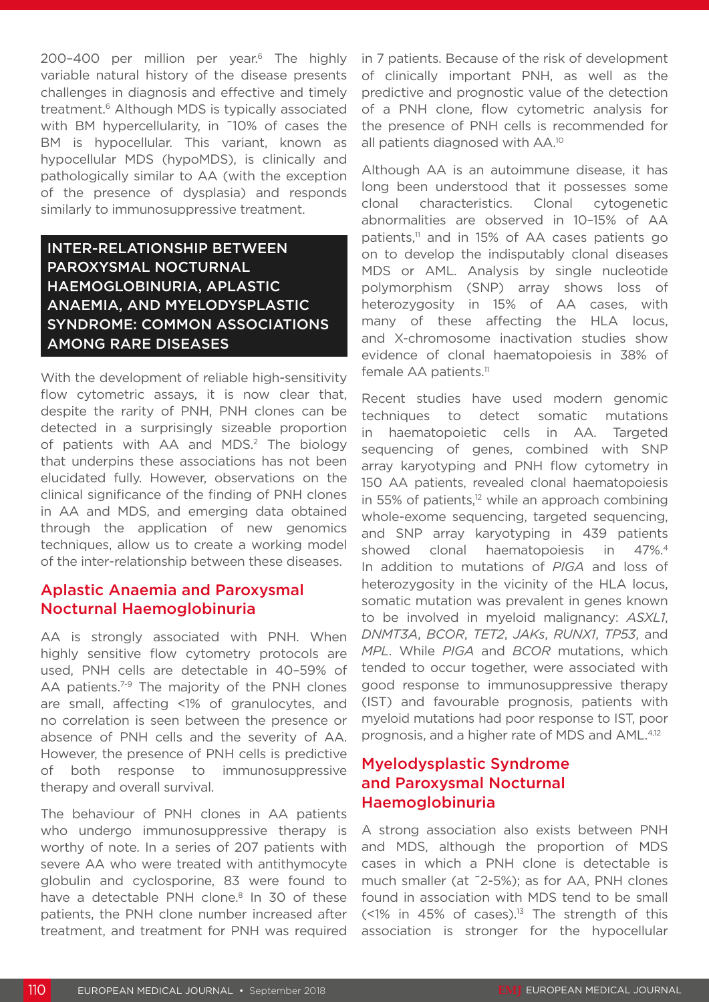200-400 per million per year.<sup>6</sup> The highly variable natural history of the disease presents challenges in diagnosis and effective and timely treatment.6 Although MDS is typically associated with BM hypercellularity, in ˜10% of cases the BM is hypocellular. This variant, known as hypocellular MDS (hypoMDS), is clinically and pathologically similar to AA (with the exception of the presence of dysplasia) and responds similarly to immunosuppressive treatment.

### INTER-RELATIONSHIP BETWEEN PAROXYSMAL NOCTURNAL HAEMOGLOBINURIA, APLASTIC ANAEMIA, AND MYELODYSPLASTIC SYNDROME: COMMON ASSOCIATIONS AMONG RARE DISEASES

With the development of reliable high-sensitivity flow cytometric assays, it is now clear that, despite the rarity of PNH, PNH clones can be detected in a surprisingly sizeable proportion of patients with AA and MDS.<sup>2</sup> The biology that underpins these associations has not been elucidated fully. However, observations on the clinical significance of the finding of PNH clones in AA and MDS, and emerging data obtained through the application of new genomics techniques, allow us to create a working model of the inter-relationship between these diseases.

#### Aplastic Anaemia and Paroxysmal Nocturnal Haemoglobinuria

AA is strongly associated with PNH. When highly sensitive flow cytometry protocols are used, PNH cells are detectable in 40–59% of AA patients.<sup>7-9</sup> The majority of the PNH clones are small, affecting <1% of granulocytes, and no correlation is seen between the presence or absence of PNH cells and the severity of AA. However, the presence of PNH cells is predictive of both response to immunosuppressive therapy and overall survival.

The behaviour of PNH clones in AA patients who undergo immunosuppressive therapy is worthy of note. In a series of 207 patients with severe AA who were treated with antithymocyte globulin and cyclosporine, 83 were found to have a detectable PNH clone.<sup>8</sup> In 30 of these patients, the PNH clone number increased after treatment, and treatment for PNH was required

in 7 patients. Because of the risk of development of clinically important PNH, as well as the predictive and prognostic value of the detection of a PNH clone, flow cytometric analysis for the presence of PNH cells is recommended for all patients diagnosed with AA.10

Although AA is an autoimmune disease, it has long been understood that it possesses some clonal characteristics. Clonal cytogenetic abnormalities are observed in 10–15% of AA patients, $\frac{11}{11}$  and in 15% of AA cases patients go on to develop the indisputably clonal diseases MDS or AML. Analysis by single nucleotide polymorphism (SNP) array shows loss of heterozygosity in 15% of AA cases, with many of these affecting the HLA locus, and X-chromosome inactivation studies show evidence of clonal haematopoiesis in 38% of female AA patients.<sup>11</sup>

Recent studies have used modern genomic techniques to detect somatic mutations in haematopoietic cells in AA. Targeted sequencing of genes, combined with SNP array karyotyping and PNH flow cytometry in 150 AA patients, revealed clonal haematopoiesis in 55% of patients, $12$  while an approach combining whole-exome sequencing, targeted sequencing, and SNP array karyotyping in 439 patients showed clonal haematopoiesis in 47%.<sup>4</sup> In addition to mutations of *PIGA* and loss of heterozygosity in the vicinity of the HLA locus, somatic mutation was prevalent in genes known to be involved in myeloid malignancy: *ASXL1*, *DNMT3A*, *BCOR*, *TET2*, *JAKs*, *RUNX1*, *TP53*, and *MPL*. While *PIGA* and *BCOR* mutations, which tended to occur together, were associated with good response to immunosuppressive therapy (IST) and favourable prognosis, patients with myeloid mutations had poor response to IST, poor prognosis, and a higher rate of MDS and AML.4,12

#### Myelodysplastic Syndrome and Paroxysmal Nocturnal Haemoglobinuria

A strong association also exists between PNH and MDS, although the proportion of MDS cases in which a PNH clone is detectable is much smaller (at ˜2-5%); as for AA, PNH clones found in association with MDS tend to be small  $($  < 1% in 45% of cases).<sup>13</sup> The strength of this association is stronger for the hypocellular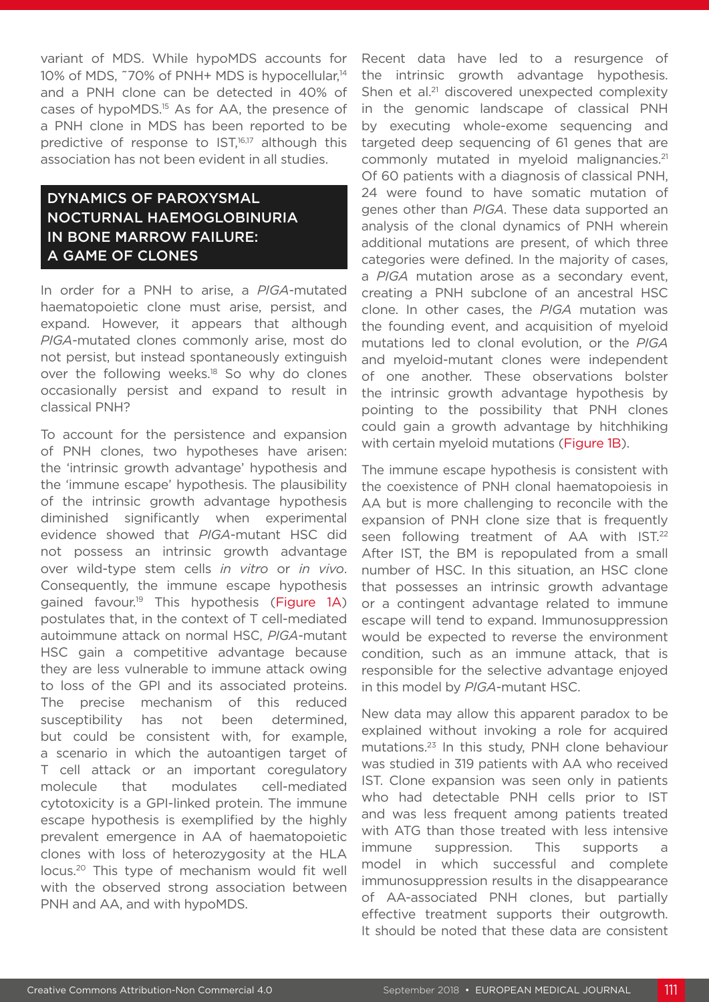variant of MDS. While hypoMDS accounts for 10% of MDS, ~70% of PNH+ MDS is hypocellular,<sup>14</sup> and a PNH clone can be detected in 40% of cases of hypoMDS.15 As for AA, the presence of a PNH clone in MDS has been reported to be predictive of response to IST,<sup>16,17</sup> although this association has not been evident in all studies.

#### DYNAMICS OF PAROXYSMAL NOCTURNAL HAEMOGLOBINURIA IN BONE MARROW FAILURE: A GAME OF CLONES

In order for a PNH to arise, a *PIGA*-mutated haematopoietic clone must arise, persist, and expand. However, it appears that although *PIGA*-mutated clones commonly arise, most do not persist, but instead spontaneously extinguish over the following weeks.<sup>18</sup> So why do clones occasionally persist and expand to result in classical PNH?

To account for the persistence and expansion of PNH clones, two hypotheses have arisen: the 'intrinsic growth advantage' hypothesis and the 'immune escape' hypothesis. The plausibility of the intrinsic growth advantage hypothesis diminished significantly when experimental evidence showed that *PIGA*-mutant HSC did not possess an intrinsic growth advantage over wild-type stem cells *in vitro* or *in vivo*. Consequently, the immune escape hypothesis gained favour.<sup>19</sup> This hypothesis (Figure 1A) postulates that, in the context of T cell-mediated autoimmune attack on normal HSC, *PIGA*-mutant HSC gain a competitive advantage because they are less vulnerable to immune attack owing to loss of the GPI and its associated proteins. The precise mechanism of this reduced susceptibility has not been determined, but could be consistent with, for example, a scenario in which the autoantigen target of T cell attack or an important coregulatory molecule that modulates cell-mediated cytotoxicity is a GPI-linked protein. The immune escape hypothesis is exemplified by the highly prevalent emergence in AA of haematopoietic clones with loss of heterozygosity at the HLA locus.20 This type of mechanism would fit well with the observed strong association between PNH and AA, and with hypoMDS.

Recent data have led to a resurgence of the intrinsic growth advantage hypothesis. Shen et al.<sup>21</sup> discovered unexpected complexity in the genomic landscape of classical PNH by executing whole-exome sequencing and targeted deep sequencing of 61 genes that are commonly mutated in myeloid malignancies.<sup>21</sup> Of 60 patients with a diagnosis of classical PNH, 24 were found to have somatic mutation of genes other than *PIGA*. These data supported an analysis of the clonal dynamics of PNH wherein additional mutations are present, of which three categories were defined. In the majority of cases, a *PIGA* mutation arose as a secondary event, creating a PNH subclone of an ancestral HSC clone. In other cases, the *PIGA* mutation was the founding event, and acquisition of myeloid mutations led to clonal evolution, or the *PIGA* and myeloid-mutant clones were independent of one another. These observations bolster the intrinsic growth advantage hypothesis by pointing to the possibility that PNH clones could gain a growth advantage by hitchhiking with certain myeloid mutations (Figure 1B).

The immune escape hypothesis is consistent with the coexistence of PNH clonal haematopoiesis in AA but is more challenging to reconcile with the expansion of PNH clone size that is frequently seen following treatment of AA with IST.<sup>22</sup> After IST, the BM is repopulated from a small number of HSC. In this situation, an HSC clone that possesses an intrinsic growth advantage or a contingent advantage related to immune escape will tend to expand. Immunosuppression would be expected to reverse the environment condition, such as an immune attack, that is responsible for the selective advantage enjoyed in this model by *PIGA*-mutant HSC.

New data may allow this apparent paradox to be explained without invoking a role for acquired mutations.23 In this study, PNH clone behaviour was studied in 319 patients with AA who received IST. Clone expansion was seen only in patients who had detectable PNH cells prior to IST and was less frequent among patients treated with ATG than those treated with less intensive immune suppression. This supports a model in which successful and complete immunosuppression results in the disappearance of AA-associated PNH clones, but partially effective treatment supports their outgrowth. It should be noted that these data are consistent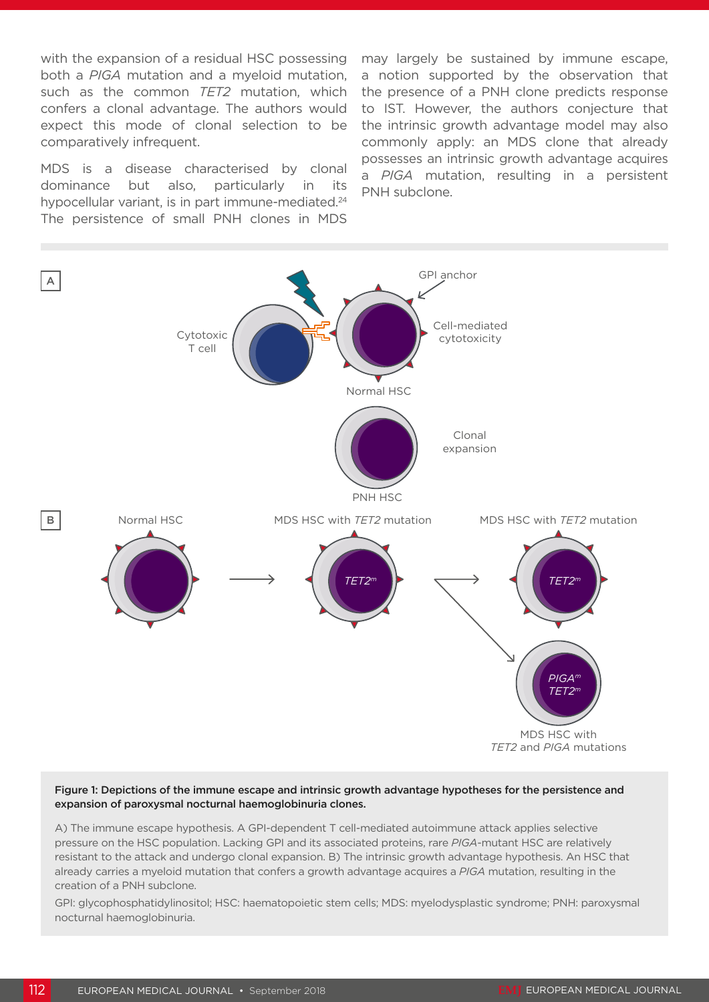with the expansion of a residual HSC possessing both a *PIGA* mutation and a myeloid mutation, such as the common *TET2* mutation, which confers a clonal advantage. The authors would expect this mode of clonal selection to be comparatively infrequent.

MDS is a disease characterised by clonal dominance but also, particularly in its hypocellular variant, is in part immune-mediated.<sup>24</sup> The persistence of small PNH clones in MDS

may largely be sustained by immune escape, a notion supported by the observation that the presence of a PNH clone predicts response to IST. However, the authors conjecture that the intrinsic growth advantage model may also commonly apply: an MDS clone that already possesses an intrinsic growth advantage acquires a *PIGA* mutation, resulting in a persistent PNH subclone.



#### Figure 1: Depictions of the immune escape and intrinsic growth advantage hypotheses for the persistence and expansion of paroxysmal nocturnal haemoglobinuria clones.

A) The immune escape hypothesis. A GPI-dependent T cell-mediated autoimmune attack applies selective pressure on the HSC population. Lacking GPI and its associated proteins, rare *PIGA*-mutant HSC are relatively resistant to the attack and undergo clonal expansion. B) The intrinsic growth advantage hypothesis. An HSC that already carries a myeloid mutation that confers a growth advantage acquires a *PIGA* mutation, resulting in the creation of a PNH subclone.

GPI: glycophosphatidylinositol; HSC: haematopoietic stem cells; MDS: myelodysplastic syndrome; PNH: paroxysmal nocturnal haemoglobinuria.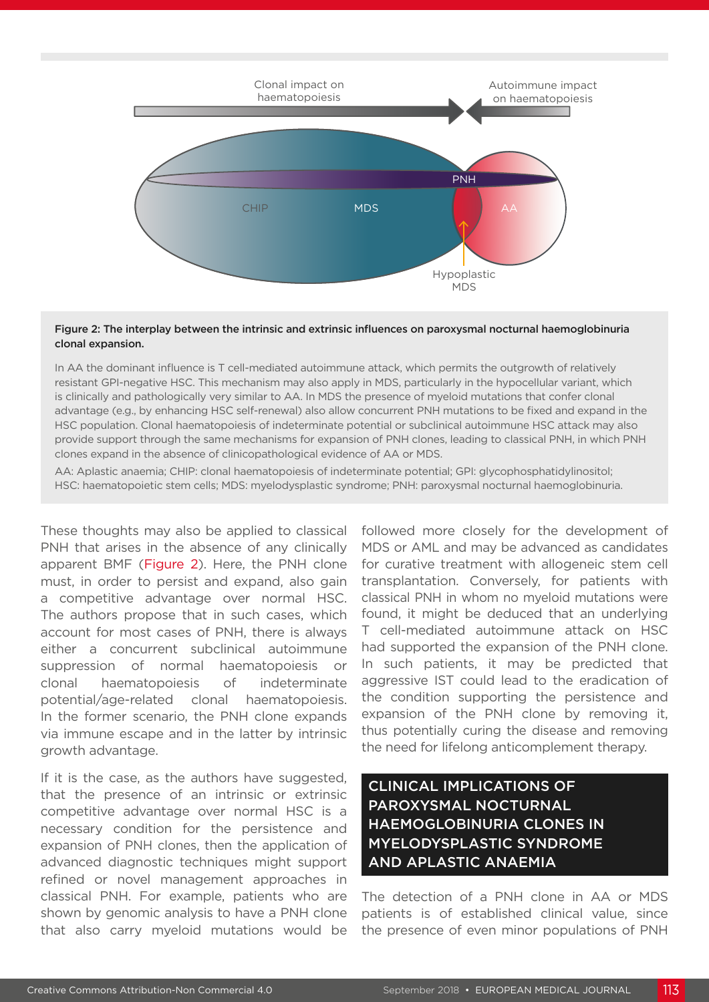

#### Figure 2: The interplay between the intrinsic and extrinsic influences on paroxysmal nocturnal haemoglobinuria clonal expansion.

In AA the dominant influence is T cell-mediated autoimmune attack, which permits the outgrowth of relatively resistant GPI-negative HSC. This mechanism may also apply in MDS, particularly in the hypocellular variant, which is clinically and pathologically very similar to AA. In MDS the presence of myeloid mutations that confer clonal advantage (e.g., by enhancing HSC self-renewal) also allow concurrent PNH mutations to be fixed and expand in the HSC population. Clonal haematopoiesis of indeterminate potential or subclinical autoimmune HSC attack may also provide support through the same mechanisms for expansion of PNH clones, leading to classical PNH, in which PNH clones expand in the absence of clinicopathological evidence of AA or MDS.

AA: Aplastic anaemia; CHIP: clonal haematopoiesis of indeterminate potential; GPI: glycophosphatidylinositol; HSC: haematopoietic stem cells; MDS: myelodysplastic syndrome; PNH: paroxysmal nocturnal haemoglobinuria.

These thoughts may also be applied to classical PNH that arises in the absence of any clinically apparent BMF (Figure 2). Here, the PNH clone must, in order to persist and expand, also gain a competitive advantage over normal HSC. The authors propose that in such cases, which account for most cases of PNH, there is always either a concurrent subclinical autoimmune suppression of normal haematopoiesis or clonal haematopoiesis of indeterminate potential/age-related clonal haematopoiesis. In the former scenario, the PNH clone expands via immune escape and in the latter by intrinsic growth advantage.

If it is the case, as the authors have suggested, that the presence of an intrinsic or extrinsic competitive advantage over normal HSC is a necessary condition for the persistence and expansion of PNH clones, then the application of advanced diagnostic techniques might support refined or novel management approaches in classical PNH. For example, patients who are shown by genomic analysis to have a PNH clone that also carry myeloid mutations would be

followed more closely for the development of MDS or AML and may be advanced as candidates for curative treatment with allogeneic stem cell transplantation. Conversely, for patients with classical PNH in whom no myeloid mutations were found, it might be deduced that an underlying T cell-mediated autoimmune attack on HSC had supported the expansion of the PNH clone. In such patients, it may be predicted that aggressive IST could lead to the eradication of the condition supporting the persistence and expansion of the PNH clone by removing it, thus potentially curing the disease and removing the need for lifelong anticomplement therapy.

### CLINICAL IMPLICATIONS OF PAROXYSMAL NOCTURNAL HAEMOGLOBINURIA CLONES IN MYELODYSPLASTIC SYNDROME AND APLASTIC ANAEMIA

The detection of a PNH clone in AA or MDS patients is of established clinical value, since the presence of even minor populations of PNH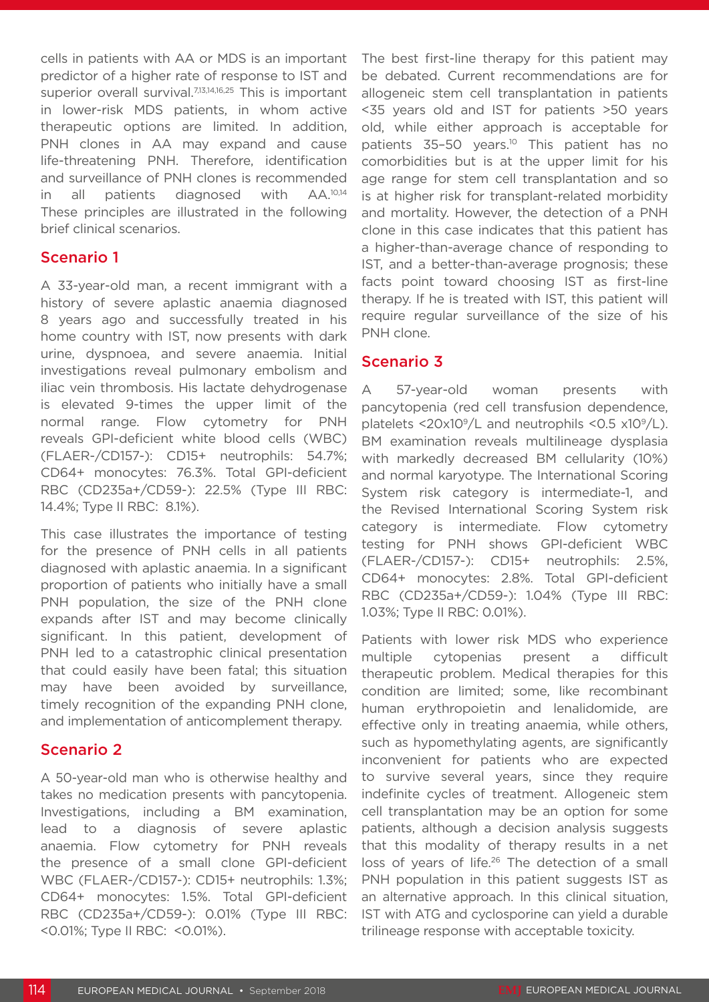cells in patients with AA or MDS is an important predictor of a higher rate of response to IST and superior overall survival.<sup>7,13,14,16,25</sup> This is important in lower-risk MDS patients, in whom active therapeutic options are limited. In addition, PNH clones in AA may expand and cause life-threatening PNH. Therefore, identification and surveillance of PNH clones is recommended in all patients diagnosed with AA.10,14 These principles are illustrated in the following brief clinical scenarios.

#### Scenario 1

A 33-year-old man, a recent immigrant with a history of severe aplastic anaemia diagnosed 8 years ago and successfully treated in his home country with IST, now presents with dark urine, dyspnoea, and severe anaemia. Initial investigations reveal pulmonary embolism and iliac vein thrombosis. His lactate dehydrogenase is elevated 9-times the upper limit of the normal range. Flow cytometry for PNH reveals GPI-deficient white blood cells (WBC) (FLAER-/CD157-): CD15+ neutrophils: 54.7%; CD64+ monocytes: 76.3%. Total GPI-deficient RBC (CD235a+/CD59-): 22.5% (Type III RBC: 14.4%; Type II RBC: 8.1%).

This case illustrates the importance of testing for the presence of PNH cells in all patients diagnosed with aplastic anaemia. In a significant proportion of patients who initially have a small PNH population, the size of the PNH clone expands after IST and may become clinically significant. In this patient, development of PNH led to a catastrophic clinical presentation that could easily have been fatal; this situation may have been avoided by surveillance, timely recognition of the expanding PNH clone, and implementation of anticomplement therapy.

#### Scenario 2

A 50-year-old man who is otherwise healthy and takes no medication presents with pancytopenia. Investigations, including a BM examination, lead to a diagnosis of severe aplastic anaemia. Flow cytometry for PNH reveals the presence of a small clone GPI-deficient WBC (FLAER-/CD157-): CD15+ neutrophils: 1.3%; CD64+ monocytes: 1.5%. Total GPI-deficient RBC (CD235a+/CD59-): 0.01% (Type III RBC: <0.01%; Type II RBC: <0.01%).

The best first-line therapy for this patient may be debated. Current recommendations are for allogeneic stem cell transplantation in patients <35 years old and IST for patients >50 years old, while either approach is acceptable for patients 35-50 years.<sup>10</sup> This patient has no comorbidities but is at the upper limit for his age range for stem cell transplantation and so is at higher risk for transplant-related morbidity and mortality. However, the detection of a PNH clone in this case indicates that this patient has a higher-than-average chance of responding to IST, and a better-than-average prognosis; these facts point toward choosing IST as first-line therapy. If he is treated with IST, this patient will require regular surveillance of the size of his PNH clone.

#### Scenario 3

A 57-year-old woman presents with pancytopenia (red cell transfusion dependence, platelets  $\langle 20x10^9/L \rangle$  and neutrophils  $\langle 0.5x10^9/L \rangle$ . BM examination reveals multilineage dysplasia with markedly decreased BM cellularity (10%) and normal karyotype. The International Scoring System risk category is intermediate-1, and the Revised International Scoring System risk category is intermediate. Flow cytometry testing for PNH shows GPI-deficient WBC (FLAER-/CD157-): CD15+ neutrophils: 2.5%, CD64+ monocytes: 2.8%. Total GPI-deficient RBC (CD235a+/CD59-): 1.04% (Type III RBC: 1.03%; Type II RBC: 0.01%).

Patients with lower risk MDS who experience multiple cytopenias present a difficult therapeutic problem. Medical therapies for this condition are limited; some, like recombinant human erythropoietin and lenalidomide, are effective only in treating anaemia, while others, such as hypomethylating agents, are significantly inconvenient for patients who are expected to survive several years, since they require indefinite cycles of treatment. Allogeneic stem cell transplantation may be an option for some patients, although a decision analysis suggests that this modality of therapy results in a net loss of years of life.<sup>26</sup> The detection of a small PNH population in this patient suggests IST as an alternative approach. In this clinical situation, IST with ATG and cyclosporine can yield a durable trilineage response with acceptable toxicity.